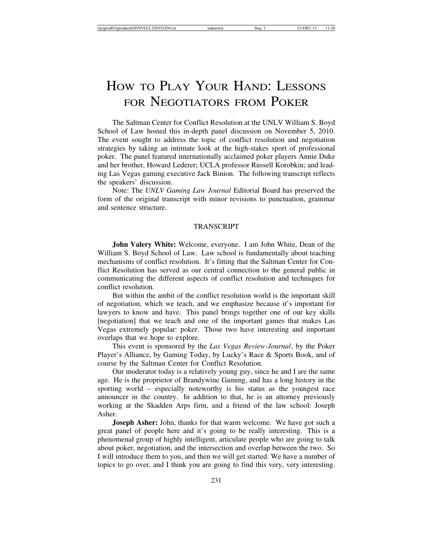# HOW TO PLAY YOUR HAND: LESSONS FOR NEGOTIATORS FROM POKER

The Saltman Center for Conflict Resolution at the UNLV William S. Boyd School of Law hosted this in-depth panel discussion on November 5, 2010. The event sought to address the topic of conflict resolution and negotiation strategies by taking an intimate look at the high-stakes sport of professional poker. The panel featured internationally acclaimed poker players Annie Duke and her brother, Howard Lederer; UCLA professor Russell Korobkin; and leading Las Vegas gaming executive Jack Binion. The following transcript reflects the speakers' discussion.

Note: The *UNLV Gaming Law Journal* Editorial Board has preserved the form of the original transcript with minor revisions to punctuation, grammar and sentence structure.

### TRANSCRIPT

**John Valery White:** Welcome, everyone. I am John White, Dean of the William S. Boyd School of Law. Law school is fundamentally about teaching mechanisms of conflict resolution. It's fitting that the Saltman Center for Conflict Resolution has served as our central connection to the general public in communicating the different aspects of conflict resolution and techniques for conflict resolution.

But within the ambit of the conflict resolution world is the important skill of negotiation, which we teach, and we emphasize because it's important for lawyers to know and have. This panel brings together one of our key skills [negotiation] that we teach and one of the important games that makes Las Vegas extremely popular: poker. Those two have interesting and important overlaps that we hope to explore.

This event is sponsored by the *Las Vegas Review-Journal*, by the Poker Player's Alliance, by Gaming Today, by Lucky's Race & Sports Book, and of course by the Saltman Center for Conflict Resolution.

Our moderator today is a relatively young guy, since he and I are the same age. He is the proprietor of Brandywine Gaming, and has a long history in the sporting world – especially noteworthy is his status as the youngest race announcer in the country. In addition to that, he is an attorney previously working at the Skadden Arps firm, and a friend of the law school: Joseph Asher.

**Joseph Asher:** John, thanks for that warm welcome. We have got such a great panel of people here and it's going to be really interesting. This is a phenomenal group of highly intelligent, articulate people who are going to talk about poker, negotiation, and the intersection and overlap between the two. So I will introduce them to you, and then we will get started. We have a number of topics to go over, and I think you are going to find this very, very interesting.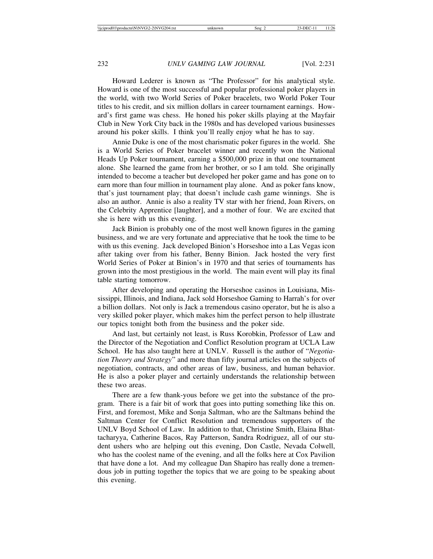Howard Lederer is known as "The Professor" for his analytical style. Howard is one of the most successful and popular professional poker players in the world, with two World Series of Poker bracelets, two World Poker Tour titles to his credit, and six million dollars in career tournament earnings. Howard's first game was chess. He honed his poker skills playing at the Mayfair Club in New York City back in the 1980s and has developed various businesses around his poker skills. I think you'll really enjoy what he has to say.

Annie Duke is one of the most charismatic poker figures in the world. She is a World Series of Poker bracelet winner and recently won the National Heads Up Poker tournament, earning a \$500,000 prize in that one tournament alone. She learned the game from her brother, or so I am told. She originally intended to become a teacher but developed her poker game and has gone on to earn more than four million in tournament play alone. And as poker fans know, that's just tournament play; that doesn't include cash game winnings. She is also an author. Annie is also a reality TV star with her friend, Joan Rivers, on the Celebrity Apprentice [laughter], and a mother of four. We are excited that she is here with us this evening.

Jack Binion is probably one of the most well known figures in the gaming business, and we are very fortunate and appreciative that he took the time to be with us this evening. Jack developed Binion's Horseshoe into a Las Vegas icon after taking over from his father, Benny Binion. Jack hosted the very first World Series of Poker at Binion's in 1970 and that series of tournaments has grown into the most prestigious in the world. The main event will play its final table starting tomorrow.

After developing and operating the Horseshoe casinos in Louisiana, Mississippi, Illinois, and Indiana, Jack sold Horseshoe Gaming to Harrah's for over a billion dollars. Not only is Jack a tremendous casino operator, but he is also a very skilled poker player, which makes him the perfect person to help illustrate our topics tonight both from the business and the poker side.

And last, but certainly not least, is Russ Korobkin, Professor of Law and the Director of the Negotiation and Conflict Resolution program at UCLA Law School. He has also taught here at UNLV. Russell is the author of "*Negotiation Theory and Strategy*" and more than fifty journal articles on the subjects of negotiation, contracts, and other areas of law, business, and human behavior. He is also a poker player and certainly understands the relationship between these two areas.

There are a few thank-yous before we get into the substance of the program. There is a fair bit of work that goes into putting something like this on. First, and foremost, Mike and Sonja Saltman, who are the Saltmans behind the Saltman Center for Conflict Resolution and tremendous supporters of the UNLV Boyd School of Law. In addition to that, Christine Smith, Elaina Bhattacharyya, Catherine Bacos, Ray Patterson, Sandra Rodriguez, all of our student ushers who are helping out this evening, Don Castle, Nevada Colwell, who has the coolest name of the evening, and all the folks here at Cox Pavilion that have done a lot. And my colleague Dan Shapiro has really done a tremendous job in putting together the topics that we are going to be speaking about this evening.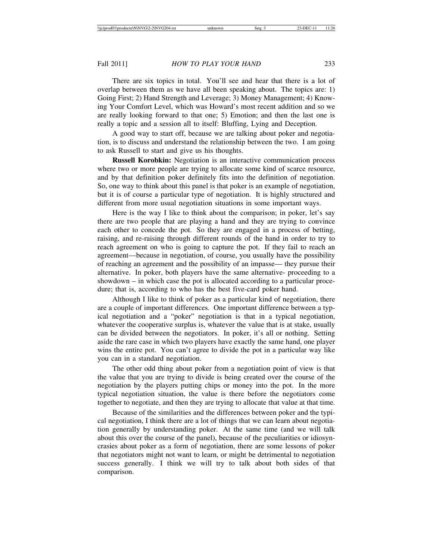There are six topics in total. You'll see and hear that there is a lot of overlap between them as we have all been speaking about. The topics are: 1) Going First; 2) Hand Strength and Leverage; 3) Money Management; 4) Knowing Your Comfort Level, which was Howard's most recent addition and so we are really looking forward to that one; 5) Emotion; and then the last one is really a topic and a session all to itself: Bluffing, Lying and Deception.

A good way to start off, because we are talking about poker and negotiation, is to discuss and understand the relationship between the two. I am going to ask Russell to start and give us his thoughts.

**Russell Korobkin:** Negotiation is an interactive communication process where two or more people are trying to allocate some kind of scarce resource, and by that definition poker definitely fits into the definition of negotiation. So, one way to think about this panel is that poker is an example of negotiation, but it is of course a particular type of negotiation. It is highly structured and different from more usual negotiation situations in some important ways.

Here is the way I like to think about the comparison; in poker, let's say there are two people that are playing a hand and they are trying to convince each other to concede the pot. So they are engaged in a process of betting, raising, and re-raising through different rounds of the hand in order to try to reach agreement on who is going to capture the pot. If they fail to reach an agreement—because in negotiation, of course, you usually have the possibility of reaching an agreement and the possibility of an impasse— they pursue their alternative. In poker, both players have the same alternative- proceeding to a showdown – in which case the pot is allocated according to a particular procedure; that is, according to who has the best five-card poker hand.

Although I like to think of poker as a particular kind of negotiation, there are a couple of important differences. One important difference between a typical negotiation and a "poker" negotiation is that in a typical negotiation, whatever the cooperative surplus is, whatever the value that is at stake, usually can be divided between the negotiators. In poker, it's all or nothing. Setting aside the rare case in which two players have exactly the same hand, one player wins the entire pot. You can't agree to divide the pot in a particular way like you can in a standard negotiation.

The other odd thing about poker from a negotiation point of view is that the value that you are trying to divide is being created over the course of the negotiation by the players putting chips or money into the pot. In the more typical negotiation situation, the value is there before the negotiators come together to negotiate, and then they are trying to allocate that value at that time.

Because of the similarities and the differences between poker and the typical negotiation, I think there are a lot of things that we can learn about negotiation generally by understanding poker. At the same time (and we will talk about this over the course of the panel), because of the peculiarities or idiosyncrasies about poker as a form of negotiation, there are some lessons of poker that negotiators might not want to learn, or might be detrimental to negotiation success generally. I think we will try to talk about both sides of that comparison.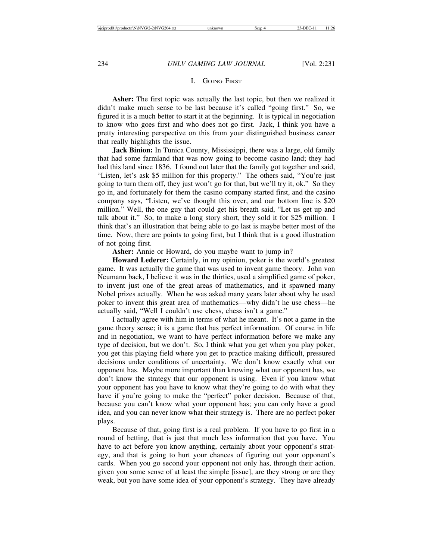# I. GOING FIRST

**Asher:** The first topic was actually the last topic, but then we realized it didn't make much sense to be last because it's called "going first." So, we figured it is a much better to start it at the beginning. It is typical in negotiation to know who goes first and who does not go first. Jack, I think you have a pretty interesting perspective on this from your distinguished business career that really highlights the issue.

**Jack Binion:** In Tunica County, Mississippi, there was a large, old family that had some farmland that was now going to become casino land; they had had this land since 1836. I found out later that the family got together and said, "Listen, let's ask \$5 million for this property." The others said, "You're just going to turn them off, they just won't go for that, but we'll try it, ok." So they go in, and fortunately for them the casino company started first, and the casino company says, "Listen, we've thought this over, and our bottom line is \$20 million." Well, the one guy that could get his breath said, "Let us get up and talk about it." So, to make a long story short, they sold it for \$25 million. I think that's an illustration that being able to go last is maybe better most of the time. Now, there are points to going first, but I think that is a good illustration of not going first.

**Asher:** Annie or Howard, do you maybe want to jump in?

**Howard Lederer:** Certainly, in my opinion, poker is the world's greatest game. It was actually the game that was used to invent game theory. John von Neumann back, I believe it was in the thirties, used a simplified game of poker, to invent just one of the great areas of mathematics, and it spawned many Nobel prizes actually. When he was asked many years later about why he used poker to invent this great area of mathematics—why didn't he use chess—he actually said, "Well I couldn't use chess, chess isn't a game."

I actually agree with him in terms of what he meant. It's not a game in the game theory sense; it is a game that has perfect information. Of course in life and in negotiation, we want to have perfect information before we make any type of decision, but we don't. So, I think what you get when you play poker, you get this playing field where you get to practice making difficult, pressured decisions under conditions of uncertainty. We don't know exactly what our opponent has. Maybe more important than knowing what our opponent has, we don't know the strategy that our opponent is using. Even if you know what your opponent has you have to know what they're going to do with what they have if you're going to make the "perfect" poker decision. Because of that, because you can't know what your opponent has; you can only have a good idea, and you can never know what their strategy is. There are no perfect poker plays.

Because of that, going first is a real problem. If you have to go first in a round of betting, that is just that much less information that you have. You have to act before you know anything, certainly about your opponent's strategy, and that is going to hurt your chances of figuring out your opponent's cards. When you go second your opponent not only has, through their action, given you some sense of at least the simple [issue], are they strong or are they weak, but you have some idea of your opponent's strategy. They have already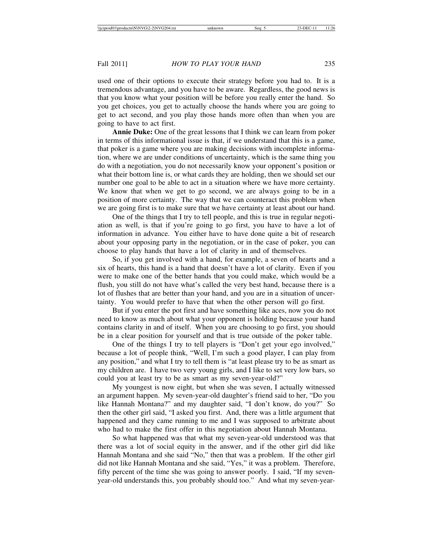used one of their options to execute their strategy before you had to. It is a tremendous advantage, and you have to be aware. Regardless, the good news is that you know what your position will be before you really enter the hand. So you get choices, you get to actually choose the hands where you are going to get to act second, and you play those hands more often than when you are going to have to act first.

**Annie Duke:** One of the great lessons that I think we can learn from poker in terms of this informational issue is that, if we understand that this is a game, that poker is a game where you are making decisions with incomplete information, where we are under conditions of uncertainty, which is the same thing you do with a negotiation, you do not necessarily know your opponent's position or what their bottom line is, or what cards they are holding, then we should set our number one goal to be able to act in a situation where we have more certainty. We know that when we get to go second, we are always going to be in a position of more certainty. The way that we can counteract this problem when we are going first is to make sure that we have certainty at least about our hand.

One of the things that I try to tell people, and this is true in regular negotiation as well, is that if you're going to go first, you have to have a lot of information in advance. You either have to have done quite a bit of research about your opposing party in the negotiation, or in the case of poker, you can choose to play hands that have a lot of clarity in and of themselves.

So, if you get involved with a hand, for example, a seven of hearts and a six of hearts, this hand is a hand that doesn't have a lot of clarity. Even if you were to make one of the better hands that you could make, which would be a flush, you still do not have what's called the very best hand, because there is a lot of flushes that are better than your hand, and you are in a situation of uncertainty. You would prefer to have that when the other person will go first.

But if you enter the pot first and have something like aces, now you do not need to know as much about what your opponent is holding because your hand contains clarity in and of itself. When you are choosing to go first, you should be in a clear position for yourself and that is true outside of the poker table.

One of the things I try to tell players is "Don't get your ego involved," because a lot of people think, "Well, I'm such a good player, I can play from any position," and what I try to tell them is "at least please try to be as smart as my children are. I have two very young girls, and I like to set very low bars, so could you at least try to be as smart as my seven-year-old?"

My youngest is now eight, but when she was seven, I actually witnessed an argument happen. My seven-year-old daughter's friend said to her, "Do you like Hannah Montana?" and my daughter said, "I don't know, do you?" So then the other girl said, "I asked you first. And, there was a little argument that happened and they came running to me and I was supposed to arbitrate about who had to make the first offer in this negotiation about Hannah Montana.

So what happened was that what my seven-year-old understood was that there was a lot of social equity in the answer, and if the other girl did like Hannah Montana and she said "No," then that was a problem. If the other girl did not like Hannah Montana and she said, "Yes," it was a problem. Therefore, fifty percent of the time she was going to answer poorly. I said, "If my sevenyear-old understands this, you probably should too." And what my seven-year-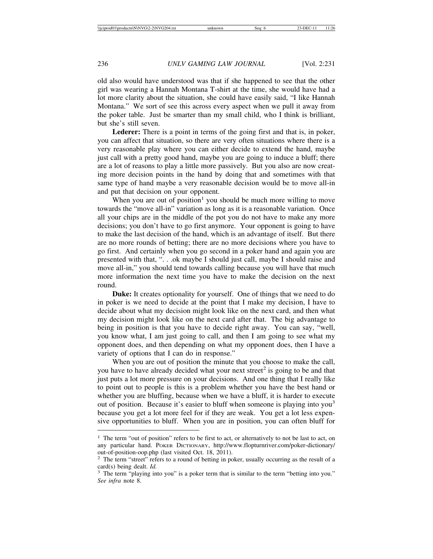old also would have understood was that if she happened to see that the other girl was wearing a Hannah Montana T-shirt at the time, she would have had a lot more clarity about the situation, she could have easily said, "I like Hannah Montana." We sort of see this across every aspect when we pull it away from the poker table. Just be smarter than my small child, who I think is brilliant, but she's still seven.

**Lederer:** There is a point in terms of the going first and that is, in poker, you can affect that situation, so there are very often situations where there is a very reasonable play where you can either decide to extend the hand, maybe just call with a pretty good hand, maybe you are going to induce a bluff; there are a lot of reasons to play a little more passively. But you also are now creating more decision points in the hand by doing that and sometimes with that same type of hand maybe a very reasonable decision would be to move all-in and put that decision on your opponent.

When you are out of position<sup>1</sup> you should be much more willing to move towards the "move all-in" variation as long as it is a reasonable variation. Once all your chips are in the middle of the pot you do not have to make any more decisions; you don't have to go first anymore. Your opponent is going to have to make the last decision of the hand, which is an advantage of itself. But there are no more rounds of betting; there are no more decisions where you have to go first. And certainly when you go second in a poker hand and again you are presented with that, ". . .ok maybe I should just call, maybe I should raise and move all-in," you should tend towards calling because you will have that much more information the next time you have to make the decision on the next round.

**Duke:** It creates optionality for yourself. One of things that we need to do in poker is we need to decide at the point that I make my decision, I have to decide about what my decision might look like on the next card, and then what my decision might look like on the next card after that. The big advantage to being in position is that you have to decide right away. You can say, "well, you know what, I am just going to call, and then I am going to see what my opponent does, and then depending on what my opponent does, then I have a variety of options that I can do in response."

When you are out of position the minute that you choose to make the call, you have to have already decided what your next street<sup>2</sup> is going to be and that just puts a lot more pressure on your decisions. And one thing that I really like to point out to people is this is a problem whether you have the best hand or whether you are bluffing, because when we have a bluff, it is harder to execute out of position. Because it's easier to bluff when someone is playing into you<sup>3</sup> because you get a lot more feel for if they are weak. You get a lot less expensive opportunities to bluff. When you are in position, you can often bluff for

<sup>&</sup>lt;sup>1</sup> The term "out of position" refers to be first to act, or alternatively to not be last to act, on any particular hand. POKER DICTIONARY, http://www.flopturnriver.com/poker-dictionary/ out-of-position-oop.php (last visited Oct. 18, 2011).

<sup>&</sup>lt;sup>2</sup> The term "street" refers to a round of betting in poker, usually occurring as the result of a card(s) being dealt. *Id.* 3 The term "playing into you" is a poker term that is similar to the term "betting into you."

*See infra* note 8.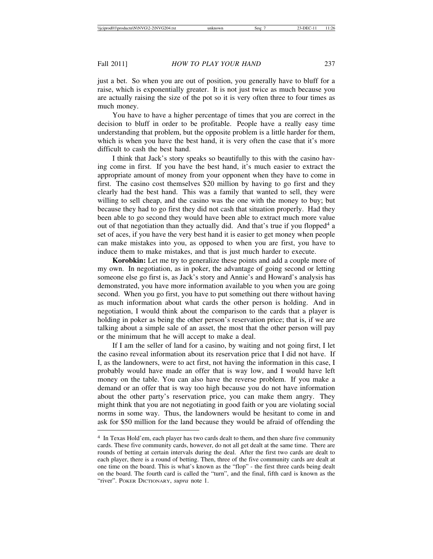just a bet. So when you are out of position, you generally have to bluff for a raise, which is exponentially greater. It is not just twice as much because you are actually raising the size of the pot so it is very often three to four times as much money.

You have to have a higher percentage of times that you are correct in the decision to bluff in order to be profitable. People have a really easy time understanding that problem, but the opposite problem is a little harder for them, which is when you have the best hand, it is very often the case that it's more difficult to cash the best hand.

I think that Jack's story speaks so beautifully to this with the casino having come in first. If you have the best hand, it's much easier to extract the appropriate amount of money from your opponent when they have to come in first. The casino cost themselves \$20 million by having to go first and they clearly had the best hand. This was a family that wanted to sell, they were willing to sell cheap, and the casino was the one with the money to buy; but because they had to go first they did not cash that situation properly. Had they been able to go second they would have been able to extract much more value out of that negotiation than they actually did. And that's true if you flopped<sup>4</sup> a set of aces, if you have the very best hand it is easier to get money when people can make mistakes into you, as opposed to when you are first, you have to induce them to make mistakes, and that is just much harder to execute.

**Korobkin:** Let me try to generalize these points and add a couple more of my own. In negotiation, as in poker, the advantage of going second or letting someone else go first is, as Jack's story and Annie's and Howard's analysis has demonstrated, you have more information available to you when you are going second. When you go first, you have to put something out there without having as much information about what cards the other person is holding. And in negotiation, I would think about the comparison to the cards that a player is holding in poker as being the other person's reservation price; that is, if we are talking about a simple sale of an asset, the most that the other person will pay or the minimum that he will accept to make a deal.

If I am the seller of land for a casino, by waiting and not going first, I let the casino reveal information about its reservation price that I did not have. If I, as the landowners, were to act first, not having the information in this case, I probably would have made an offer that is way low, and I would have left money on the table. You can also have the reverse problem. If you make a demand or an offer that is way too high because you do not have information about the other party's reservation price, you can make them angry. They might think that you are not negotiating in good faith or you are violating social norms in some way. Thus, the landowners would be hesitant to come in and ask for \$50 million for the land because they would be afraid of offending the

<sup>4</sup> In Texas Hold'em, each player has two cards dealt to them, and then share five community cards. These five community cards, however, do not all get dealt at the same time. There are rounds of betting at certain intervals during the deal. After the first two cards are dealt to each player, there is a round of betting. Then, three of the five community cards are dealt at one time on the board. This is what's known as the "flop" - the first three cards being dealt on the board. The fourth card is called the "turn", and the final, fifth card is known as the "river". POKER DICTIONARY, *supra* note 1.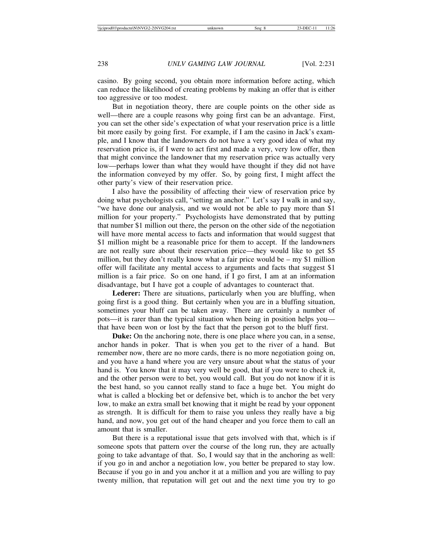casino. By going second, you obtain more information before acting, which can reduce the likelihood of creating problems by making an offer that is either too aggressive or too modest.

But in negotiation theory, there are couple points on the other side as well—there are a couple reasons why going first can be an advantage. First, you can set the other side's expectation of what your reservation price is a little bit more easily by going first. For example, if I am the casino in Jack's example, and I know that the landowners do not have a very good idea of what my reservation price is, if I were to act first and made a very, very low offer, then that might convince the landowner that my reservation price was actually very low—perhaps lower than what they would have thought if they did not have the information conveyed by my offer. So, by going first, I might affect the other party's view of their reservation price.

I also have the possibility of affecting their view of reservation price by doing what psychologists call, "setting an anchor." Let's say I walk in and say, "we have done our analysis, and we would not be able to pay more than \$1 million for your property." Psychologists have demonstrated that by putting that number \$1 million out there, the person on the other side of the negotiation will have more mental access to facts and information that would suggest that \$1 million might be a reasonable price for them to accept. If the landowners are not really sure about their reservation price—they would like to get \$5 million, but they don't really know what a fair price would be  $-$  my \$1 million offer will facilitate any mental access to arguments and facts that suggest \$1 million is a fair price. So on one hand, if I go first, I am at an information disadvantage, but I have got a couple of advantages to counteract that.

Lederer: There are situations, particularly when you are bluffing, when going first is a good thing. But certainly when you are in a bluffing situation, sometimes your bluff can be taken away. There are certainly a number of pots—it is rarer than the typical situation when being in position helps you that have been won or lost by the fact that the person got to the bluff first.

**Duke:** On the anchoring note, there is one place where you can, in a sense, anchor hands in poker. That is when you get to the river of a hand. But remember now, there are no more cards, there is no more negotiation going on, and you have a hand where you are very unsure about what the status of your hand is. You know that it may very well be good, that if you were to check it, and the other person were to bet, you would call. But you do not know if it is the best hand, so you cannot really stand to face a huge bet. You might do what is called a blocking bet or defensive bet, which is to anchor the bet very low, to make an extra small bet knowing that it might be read by your opponent as strength. It is difficult for them to raise you unless they really have a big hand, and now, you get out of the hand cheaper and you force them to call an amount that is smaller.

But there is a reputational issue that gets involved with that, which is if someone spots that pattern over the course of the long run, they are actually going to take advantage of that. So, I would say that in the anchoring as well: if you go in and anchor a negotiation low, you better be prepared to stay low. Because if you go in and you anchor it at a million and you are willing to pay twenty million, that reputation will get out and the next time you try to go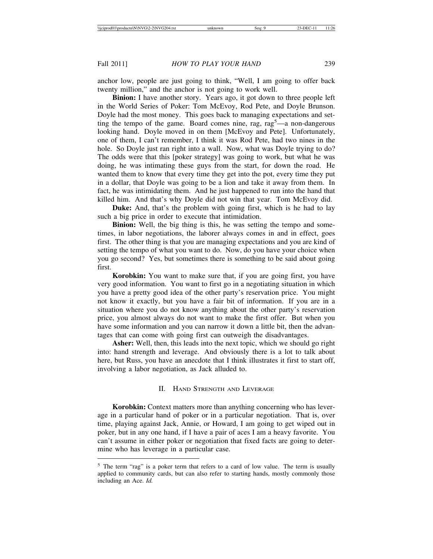anchor low, people are just going to think, "Well, I am going to offer back twenty million," and the anchor is not going to work well.

**Binion:** I have another story. Years ago, it got down to three people left in the World Series of Poker: Tom McEvoy, Rod Pete, and Doyle Brunson. Doyle had the most money. This goes back to managing expectations and setting the tempo of the game. Board comes nine, rag,  $rag<sup>5</sup>$ —a non-dangerous looking hand. Doyle moved in on them [McEvoy and Pete]. Unfortunately, one of them, I can't remember, I think it was Rod Pete, had two nines in the hole. So Doyle just ran right into a wall. Now, what was Doyle trying to do? The odds were that this [poker strategy] was going to work, but what he was doing, he was intimating these guys from the start, for down the road. He wanted them to know that every time they get into the pot, every time they put in a dollar, that Doyle was going to be a lion and take it away from them. In fact, he was intimidating them. And he just happened to run into the hand that killed him. And that's why Doyle did not win that year. Tom McEvoy did.

**Duke:** And, that's the problem with going first, which is he had to lay such a big price in order to execute that intimidation.

**Binion:** Well, the big thing is this, he was setting the tempo and sometimes, in labor negotiations, the laborer always comes in and in effect, goes first. The other thing is that you are managing expectations and you are kind of setting the tempo of what you want to do. Now, do you have your choice when you go second? Yes, but sometimes there is something to be said about going first.

**Korobkin:** You want to make sure that, if you are going first, you have very good information. You want to first go in a negotiating situation in which you have a pretty good idea of the other party's reservation price. You might not know it exactly, but you have a fair bit of information. If you are in a situation where you do not know anything about the other party's reservation price, you almost always do not want to make the first offer. But when you have some information and you can narrow it down a little bit, then the advantages that can come with going first can outweigh the disadvantages.

**Asher:** Well, then, this leads into the next topic, which we should go right into: hand strength and leverage. And obviously there is a lot to talk about here, but Russ, you have an anecdote that I think illustrates it first to start off, involving a labor negotiation, as Jack alluded to.

### II. HAND STRENGTH AND LEVERAGE

**Korobkin:** Context matters more than anything concerning who has leverage in a particular hand of poker or in a particular negotiation. That is, over time, playing against Jack, Annie, or Howard, I am going to get wiped out in poker, but in any one hand, if I have a pair of aces I am a heavy favorite. You can't assume in either poker or negotiation that fixed facts are going to determine who has leverage in a particular case.

<sup>5</sup> The term "rag" is a poker term that refers to a card of low value. The term is usually applied to community cards, but can also refer to starting hands, mostly commonly those including an Ace. *Id.*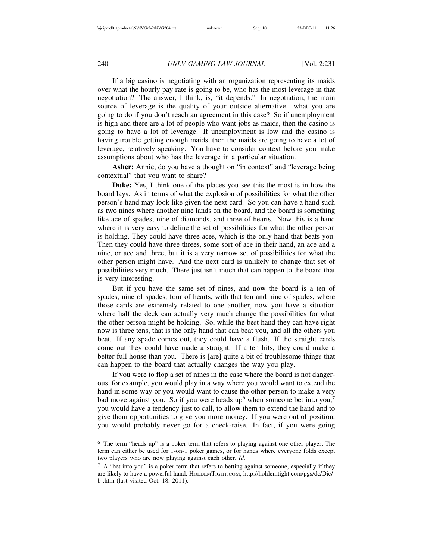If a big casino is negotiating with an organization representing its maids over what the hourly pay rate is going to be, who has the most leverage in that negotiation? The answer, I think, is, "it depends." In negotiation, the main source of leverage is the quality of your outside alternative—what you are going to do if you don't reach an agreement in this case? So if unemployment is high and there are a lot of people who want jobs as maids, then the casino is going to have a lot of leverage. If unemployment is low and the casino is having trouble getting enough maids, then the maids are going to have a lot of leverage, relatively speaking. You have to consider context before you make assumptions about who has the leverage in a particular situation.

Asher: Annie, do you have a thought on "in context" and "leverage being contextual" that you want to share?

**Duke:** Yes, I think one of the places you see this the most is in how the board lays. As in terms of what the explosion of possibilities for what the other person's hand may look like given the next card. So you can have a hand such as two nines where another nine lands on the board, and the board is something like ace of spades, nine of diamonds, and three of hearts. Now this is a hand where it is very easy to define the set of possibilities for what the other person is holding. They could have three aces, which is the only hand that beats you. Then they could have three threes, some sort of ace in their hand, an ace and a nine, or ace and three, but it is a very narrow set of possibilities for what the other person might have. And the next card is unlikely to change that set of possibilities very much. There just isn't much that can happen to the board that is very interesting.

But if you have the same set of nines, and now the board is a ten of spades, nine of spades, four of hearts, with that ten and nine of spades, where those cards are extremely related to one another, now you have a situation where half the deck can actually very much change the possibilities for what the other person might be holding. So, while the best hand they can have right now is three tens, that is the only hand that can beat you, and all the others you beat. If any spade comes out, they could have a flush. If the straight cards come out they could have made a straight. If a ten hits, they could make a better full house than you. There is [are] quite a bit of troublesome things that can happen to the board that actually changes the way you play.

If you were to flop a set of nines in the case where the board is not dangerous, for example, you would play in a way where you would want to extend the hand in some way or you would want to cause the other person to make a very bad move against you. So if you were heads up<sup>6</sup> when someone bet into you,<sup>7</sup> you would have a tendency just to call, to allow them to extend the hand and to give them opportunities to give you more money. If you were out of position, you would probably never go for a check-raise. In fact, if you were going

<sup>6</sup> The term "heads up" is a poker term that refers to playing against one other player. The term can either be used for 1-on-1 poker games, or for hands where everyone folds except two players who are now playing against each other. *Id.*

 $7\,$  A "bet into you" is a poker term that refers to betting against someone, especially if they are likely to have a powerful hand. HOLDEMTIGHT.COM, http://holdemtight.com/pgs/dc/Dic/ b-.htm (last visited Oct. 18, 2011).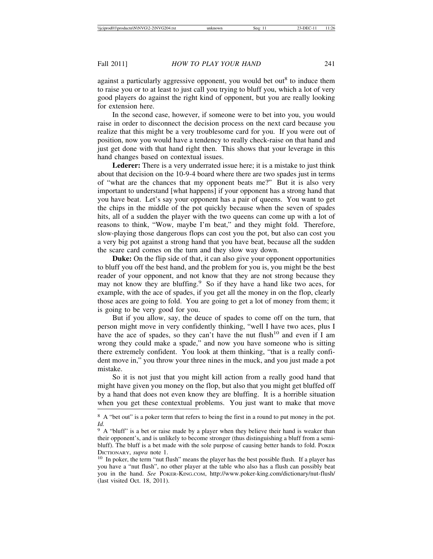against a particularly aggressive opponent, you would bet out<sup>8</sup> to induce them to raise you or to at least to just call you trying to bluff you, which a lot of very good players do against the right kind of opponent, but you are really looking for extension here.

In the second case, however, if someone were to bet into you, you would raise in order to disconnect the decision process on the next card because you realize that this might be a very troublesome card for you. If you were out of position, now you would have a tendency to really check-raise on that hand and just get done with that hand right then. This shows that your leverage in this hand changes based on contextual issues.

**Lederer:** There is a very underrated issue here; it is a mistake to just think about that decision on the 10-9-4 board where there are two spades just in terms of "what are the chances that my opponent beats me?" But it is also very important to understand [what happens] if your opponent has a strong hand that you have beat. Let's say your opponent has a pair of queens. You want to get the chips in the middle of the pot quickly because when the seven of spades hits, all of a sudden the player with the two queens can come up with a lot of reasons to think, "Wow, maybe I'm beat," and they might fold. Therefore, slow-playing those dangerous flops can cost you the pot, but also can cost you a very big pot against a strong hand that you have beat, because all the sudden the scare card comes on the turn and they slow way down.

**Duke:** On the flip side of that, it can also give your opponent opportunities to bluff you off the best hand, and the problem for you is, you might be the best reader of your opponent, and not know that they are not strong because they may not know they are bluffing.<sup>9</sup> So if they have a hand like two aces, for example, with the ace of spades, if you get all the money in on the flop, clearly those aces are going to fold. You are going to get a lot of money from them; it is going to be very good for you.

But if you allow, say, the deuce of spades to come off on the turn, that person might move in very confidently thinking, "well I have two aces, plus I have the ace of spades, so they can't have the nut flush<sup>10</sup> and even if I am wrong they could make a spade," and now you have someone who is sitting there extremely confident. You look at them thinking, "that is a really confident move in," you throw your three nines in the muck, and you just made a pot mistake.

So it is not just that you might kill action from a really good hand that might have given you money on the flop, but also that you might get bluffed off by a hand that does not even know they are bluffing. It is a horrible situation when you get these contextual problems. You just want to make that move

<sup>&</sup>lt;sup>8</sup> A "bet out" is a poker term that refers to being the first in a round to put money in the pot. *Id.*

<sup>&</sup>lt;sup>9</sup> A "bluff" is a bet or raise made by a player when they believe their hand is weaker than their opponent's, and is unlikely to become stronger (thus distinguishing a bluff from a semibluff). The bluff is a bet made with the sole purpose of causing better hands to fold. POKER DICTIONARY, *supra* note 1.<br><sup>10</sup> In poker, the term "nut flush" means the player has the best possible flush. If a player has

you have a "nut flush", no other player at the table who also has a flush can possibly beat you in the hand. *See* POKER-KING.COM, http://www.poker-king.com/dictionary/nut-flush/ (last visited Oct. 18, 2011).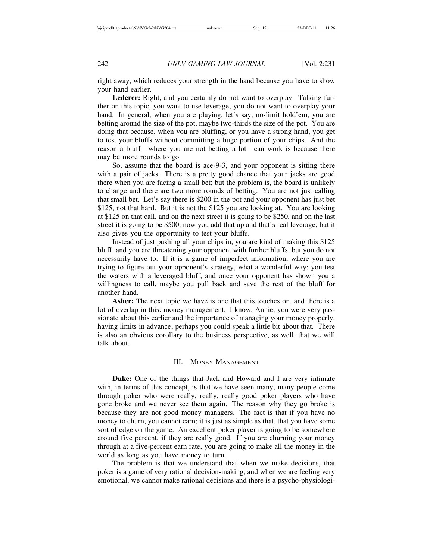right away, which reduces your strength in the hand because you have to show your hand earlier.

Lederer: Right, and you certainly do not want to overplay. Talking further on this topic, you want to use leverage; you do not want to overplay your hand. In general, when you are playing, let's say, no-limit hold'em, you are betting around the size of the pot, maybe two-thirds the size of the pot. You are doing that because, when you are bluffing, or you have a strong hand, you get to test your bluffs without committing a huge portion of your chips. And the reason a bluff—where you are not betting a lot—can work is because there may be more rounds to go.

So, assume that the board is ace-9-3, and your opponent is sitting there with a pair of jacks. There is a pretty good chance that your jacks are good there when you are facing a small bet; but the problem is, the board is unlikely to change and there are two more rounds of betting. You are not just calling that small bet. Let's say there is \$200 in the pot and your opponent has just bet \$125, not that hard. But it is not the \$125 you are looking at. You are looking at \$125 on that call, and on the next street it is going to be \$250, and on the last street it is going to be \$500, now you add that up and that's real leverage; but it also gives you the opportunity to test your bluffs.

Instead of just pushing all your chips in, you are kind of making this \$125 bluff, and you are threatening your opponent with further bluffs, but you do not necessarily have to. If it is a game of imperfect information, where you are trying to figure out your opponent's strategy, what a wonderful way: you test the waters with a leveraged bluff, and once your opponent has shown you a willingness to call, maybe you pull back and save the rest of the bluff for another hand.

**Asher:** The next topic we have is one that this touches on, and there is a lot of overlap in this: money management. I know, Annie, you were very passionate about this earlier and the importance of managing your money properly, having limits in advance; perhaps you could speak a little bit about that. There is also an obvious corollary to the business perspective, as well, that we will talk about.

### III. MONEY MANAGEMENT

**Duke:** One of the things that Jack and Howard and I are very intimate with, in terms of this concept, is that we have seen many, many people come through poker who were really, really, really good poker players who have gone broke and we never see them again. The reason why they go broke is because they are not good money managers. The fact is that if you have no money to churn, you cannot earn; it is just as simple as that, that you have some sort of edge on the game. An excellent poker player is going to be somewhere around five percent, if they are really good. If you are churning your money through at a five-percent earn rate, you are going to make all the money in the world as long as you have money to turn.

The problem is that we understand that when we make decisions, that poker is a game of very rational decision-making, and when we are feeling very emotional, we cannot make rational decisions and there is a psycho-physiologi-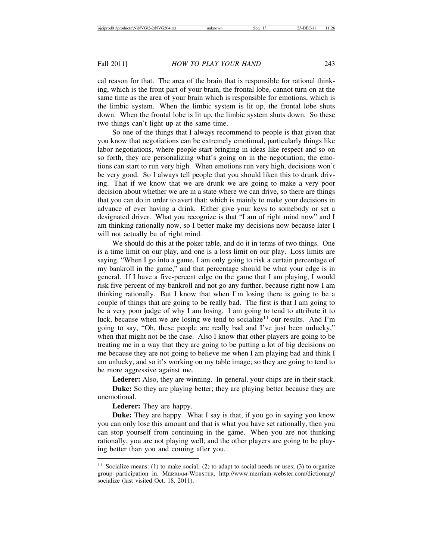cal reason for that. The area of the brain that is responsible for rational thinking, which is the front part of your brain, the frontal lobe, cannot turn on at the same time as the area of your brain which is responsible for emotions, which is the limbic system. When the limbic system is lit up, the frontal lobe shuts down. When the frontal lobe is lit up, the limbic system shuts down. So these two things can't light up at the same time.

So one of the things that I always recommend to people is that given that you know that negotiations can be extremely emotional, particularly things like labor negotiations, where people start bringing in ideas like respect and so on so forth, they are personalizing what's going on in the negotiation; the emotions can start to run very high. When emotions run very high, decisions won't be very good. So I always tell people that you should liken this to drunk driving. That if we know that we are drunk we are going to make a very poor decision about whether we are in a state where we can drive, so there are things that you can do in order to avert that: which is mainly to make your decisions in advance of ever having a drink. Either give your keys to somebody or set a designated driver. What you recognize is that "I am of right mind now" and I am thinking rationally now, so I better make my decisions now because later I will not actually be of right mind.

We should do this at the poker table, and do it in terms of two things. One is a time limit on our play, and one is a loss limit on our play. Loss limits are saying, "When I go into a game, I am only going to risk a certain percentage of my bankroll in the game," and that percentage should be what your edge is in general. If I have a five-percent edge on the game that I am playing, I would risk five percent of my bankroll and not go any further, because right now I am thinking rationally. But I know that when I'm losing there is going to be a couple of things that are going to be really bad. The first is that I am going to be a very poor judge of why I am losing. I am going to tend to attribute it to luck, because when we are losing we tend to socialize<sup>11</sup> our results. And I'm going to say, "Oh, these people are really bad and I've just been unlucky," when that might not be the case. Also I know that other players are going to be treating me in a way that they are going to be putting a lot of big decisions on me because they are not going to believe me when I am playing bad and think I am unlucky, and so it's working on my table image; so they are going to tend to be more aggressive against me.

Lederer: Also, they are winning. In general, your chips are in their stack.

**Duke:** So they are playing better; they are playing better because they are unemotional.

**Lederer:** They are happy.

**Duke:** They are happy. What I say is that, if you go in saying you know you can only lose this amount and that is what you have set rationally, then you can stop yourself from continuing in the game. When you are not thinking rationally, you are not playing well, and the other players are going to be playing better than you and coming after you.

<sup>&</sup>lt;sup>11</sup> Socialize means: (1) to make social; (2) to adapt to social needs or uses; (3) to organize group participation in. MERRIAM-WEBSTER, http://www.merriam-webster.com/dictionary/ socialize (last visited Oct. 18, 2011).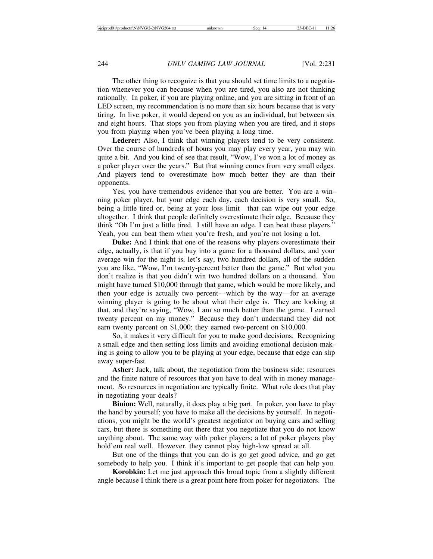The other thing to recognize is that you should set time limits to a negotiation whenever you can because when you are tired, you also are not thinking rationally. In poker, if you are playing online, and you are sitting in front of an LED screen, my recommendation is no more than six hours because that is very tiring. In live poker, it would depend on you as an individual, but between six and eight hours. That stops you from playing when you are tired, and it stops you from playing when you've been playing a long time.

**Lederer:** Also, I think that winning players tend to be very consistent. Over the course of hundreds of hours you may play every year, you may win quite a bit. And you kind of see that result, "Wow, I've won a lot of money as a poker player over the years." But that winning comes from very small edges. And players tend to overestimate how much better they are than their opponents.

Yes, you have tremendous evidence that you are better. You are a winning poker player, but your edge each day, each decision is very small. So, being a little tired or, being at your loss limit—that can wipe out your edge altogether. I think that people definitely overestimate their edge. Because they think "Oh I'm just a little tired. I still have an edge. I can beat these players." Yeah, you can beat them when you're fresh, and you're not losing a lot.

**Duke:** And I think that one of the reasons why players overestimate their edge, actually, is that if you buy into a game for a thousand dollars, and your average win for the night is, let's say, two hundred dollars, all of the sudden you are like, "Wow, I'm twenty-percent better than the game." But what you don't realize is that you didn't win two hundred dollars on a thousand. You might have turned \$10,000 through that game, which would be more likely, and then your edge is actually two percent—which by the way—for an average winning player is going to be about what their edge is. They are looking at that, and they're saying, "Wow, I am so much better than the game. I earned twenty percent on my money." Because they don't understand they did not earn twenty percent on \$1,000; they earned two-percent on \$10,000.

So, it makes it very difficult for you to make good decisions. Recognizing a small edge and then setting loss limits and avoiding emotional decision-making is going to allow you to be playing at your edge, because that edge can slip away super-fast.

Asher: Jack, talk about, the negotiation from the business side: resources and the finite nature of resources that you have to deal with in money management. So resources in negotiation are typically finite. What role does that play in negotiating your deals?

**Binion:** Well, naturally, it does play a big part. In poker, you have to play the hand by yourself; you have to make all the decisions by yourself. In negotiations, you might be the world's greatest negotiator on buying cars and selling cars, but there is something out there that you negotiate that you do not know anything about. The same way with poker players; a lot of poker players play hold'em real well. However, they cannot play high-low spread at all.

But one of the things that you can do is go get good advice, and go get somebody to help you. I think it's important to get people that can help you.

**Korobkin:** Let me just approach this broad topic from a slightly different angle because I think there is a great point here from poker for negotiators. The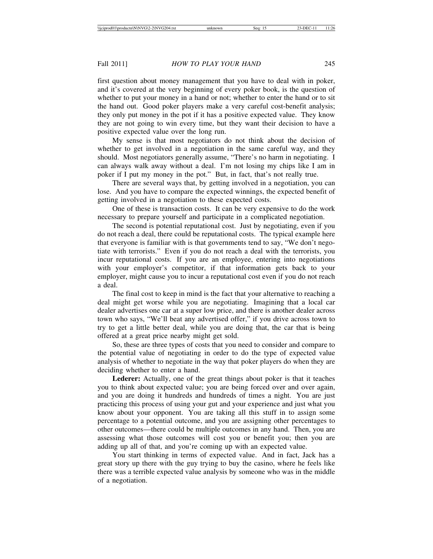first question about money management that you have to deal with in poker, and it's covered at the very beginning of every poker book, is the question of whether to put your money in a hand or not; whether to enter the hand or to sit the hand out. Good poker players make a very careful cost-benefit analysis; they only put money in the pot if it has a positive expected value. They know they are not going to win every time, but they want their decision to have a positive expected value over the long run.

My sense is that most negotiators do not think about the decision of whether to get involved in a negotiation in the same careful way, and they should. Most negotiators generally assume, "There's no harm in negotiating. I can always walk away without a deal. I'm not losing my chips like I am in poker if I put my money in the pot." But, in fact, that's not really true.

There are several ways that, by getting involved in a negotiation, you can lose. And you have to compare the expected winnings, the expected benefit of getting involved in a negotiation to these expected costs.

One of these is transaction costs. It can be very expensive to do the work necessary to prepare yourself and participate in a complicated negotiation.

The second is potential reputational cost. Just by negotiating, even if you do not reach a deal, there could be reputational costs. The typical example here that everyone is familiar with is that governments tend to say, "We don't negotiate with terrorists." Even if you do not reach a deal with the terrorists, you incur reputational costs. If you are an employee, entering into negotiations with your employer's competitor, if that information gets back to your employer, might cause you to incur a reputational cost even if you do not reach a deal.

The final cost to keep in mind is the fact that your alternative to reaching a deal might get worse while you are negotiating. Imagining that a local car dealer advertises one car at a super low price, and there is another dealer across town who says, "We'll beat any advertised offer," if you drive across town to try to get a little better deal, while you are doing that, the car that is being offered at a great price nearby might get sold.

So, these are three types of costs that you need to consider and compare to the potential value of negotiating in order to do the type of expected value analysis of whether to negotiate in the way that poker players do when they are deciding whether to enter a hand.

**Lederer:** Actually, one of the great things about poker is that it teaches you to think about expected value; you are being forced over and over again, and you are doing it hundreds and hundreds of times a night. You are just practicing this process of using your gut and your experience and just what you know about your opponent. You are taking all this stuff in to assign some percentage to a potential outcome, and you are assigning other percentages to other outcomes—there could be multiple outcomes in any hand. Then, you are assessing what those outcomes will cost you or benefit you; then you are adding up all of that, and you're coming up with an expected value.

You start thinking in terms of expected value. And in fact, Jack has a great story up there with the guy trying to buy the casino, where he feels like there was a terrible expected value analysis by someone who was in the middle of a negotiation.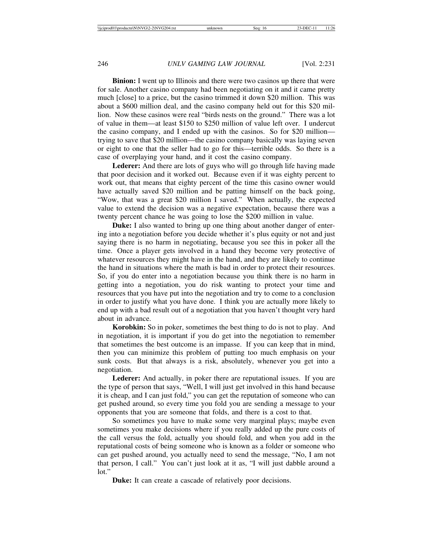**Binion:** I went up to Illinois and there were two casinos up there that were for sale. Another casino company had been negotiating on it and it came pretty much [close] to a price, but the casino trimmed it down \$20 million. This was about a \$600 million deal, and the casino company held out for this \$20 million. Now these casinos were real "birds nests on the ground." There was a lot of value in them—at least \$150 to \$250 million of value left over. I undercut the casino company, and I ended up with the casinos. So for \$20 million trying to save that \$20 million—the casino company basically was laying seven or eight to one that the seller had to go for this—terrible odds. So there is a case of overplaying your hand, and it cost the casino company.

Lederer: And there are lots of guys who will go through life having made that poor decision and it worked out. Because even if it was eighty percent to work out, that means that eighty percent of the time this casino owner would have actually saved \$20 million and be patting himself on the back going, "Wow, that was a great \$20 million I saved." When actually, the expected value to extend the decision was a negative expectation, because there was a twenty percent chance he was going to lose the \$200 million in value.

**Duke:** I also wanted to bring up one thing about another danger of entering into a negotiation before you decide whether it's plus equity or not and just saying there is no harm in negotiating, because you see this in poker all the time. Once a player gets involved in a hand they become very protective of whatever resources they might have in the hand, and they are likely to continue the hand in situations where the math is bad in order to protect their resources. So, if you do enter into a negotiation because you think there is no harm in getting into a negotiation, you do risk wanting to protect your time and resources that you have put into the negotiation and try to come to a conclusion in order to justify what you have done. I think you are actually more likely to end up with a bad result out of a negotiation that you haven't thought very hard about in advance.

**Korobkin:** So in poker, sometimes the best thing to do is not to play. And in negotiation, it is important if you do get into the negotiation to remember that sometimes the best outcome is an impasse. If you can keep that in mind, then you can minimize this problem of putting too much emphasis on your sunk costs. But that always is a risk, absolutely, whenever you get into a negotiation.

**Lederer:** And actually, in poker there are reputational issues. If you are the type of person that says, "Well, I will just get involved in this hand because it is cheap, and I can just fold," you can get the reputation of someone who can get pushed around, so every time you fold you are sending a message to your opponents that you are someone that folds, and there is a cost to that.

So sometimes you have to make some very marginal plays; maybe even sometimes you make decisions where if you really added up the pure costs of the call versus the fold, actually you should fold, and when you add in the reputational costs of being someone who is known as a folder or someone who can get pushed around, you actually need to send the message, "No, I am not that person, I call." You can't just look at it as, "I will just dabble around a lot."

**Duke:** It can create a cascade of relatively poor decisions.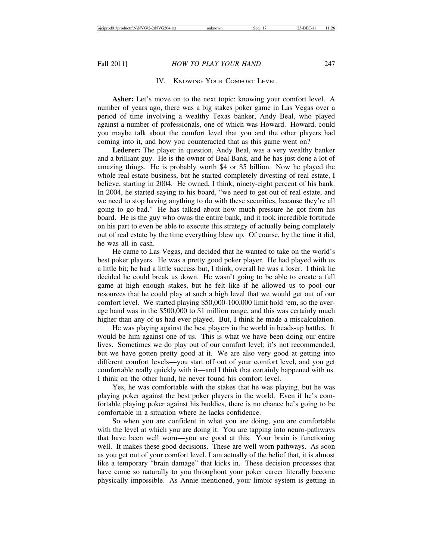# IV. KNOWING YOUR COMFORT LEVEL

Asher: Let's move on to the next topic: knowing your comfort level. A number of years ago, there was a big stakes poker game in Las Vegas over a period of time involving a wealthy Texas banker, Andy Beal, who played against a number of professionals, one of which was Howard. Howard, could you maybe talk about the comfort level that you and the other players had coming into it, and how you counteracted that as this game went on?

**Lederer:** The player in question, Andy Beal, was a very wealthy banker and a brilliant guy. He is the owner of Beal Bank, and he has just done a lot of amazing things. He is probably worth \$4 or \$5 billion. Now he played the whole real estate business, but he started completely divesting of real estate, I believe, starting in 2004. He owned, I think, ninety-eight percent of his bank. In 2004, he started saying to his board, "we need to get out of real estate, and we need to stop having anything to do with these securities, because they're all going to go bad." He has talked about how much pressure he got from his board. He is the guy who owns the entire bank, and it took incredible fortitude on his part to even be able to execute this strategy of actually being completely out of real estate by the time everything blew up. Of course, by the time it did, he was all in cash.

He came to Las Vegas, and decided that he wanted to take on the world's best poker players. He was a pretty good poker player. He had played with us a little bit; he had a little success but, I think, overall he was a loser. I think he decided he could break us down. He wasn't going to be able to create a full game at high enough stakes, but he felt like if he allowed us to pool our resources that he could play at such a high level that we would get out of our comfort level. We started playing \$50,000-100,000 limit hold 'em, so the average hand was in the \$500,000 to \$1 million range, and this was certainly much higher than any of us had ever played. But, I think he made a miscalculation.

He was playing against the best players in the world in heads-up battles. It would be him against one of us. This is what we have been doing our entire lives. Sometimes we do play out of our comfort level; it's not recommended, but we have gotten pretty good at it. We are also very good at getting into different comfort levels—you start off out of your comfort level, and you get comfortable really quickly with it—and I think that certainly happened with us. I think on the other hand, he never found his comfort level.

Yes, he was comfortable with the stakes that he was playing, but he was playing poker against the best poker players in the world. Even if he's comfortable playing poker against his buddies, there is no chance he's going to be comfortable in a situation where he lacks confidence.

So when you are confident in what you are doing, you are comfortable with the level at which you are doing it. You are tapping into neuro-pathways that have been well worn—you are good at this. Your brain is functioning well. It makes these good decisions. These are well-worn pathways. As soon as you get out of your comfort level, I am actually of the belief that, it is almost like a temporary "brain damage" that kicks in. These decision processes that have come so naturally to you throughout your poker career literally become physically impossible. As Annie mentioned, your limbic system is getting in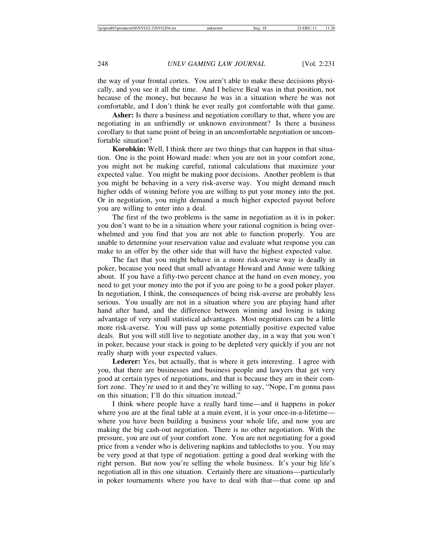the way of your frontal cortex. You aren't able to make these decisions physically, and you see it all the time. And I believe Beal was in that position, not because of the money, but because he was in a situation where he was not comfortable, and I don't think he ever really got comfortable with that game.

Asher: Is there a business and negotiation corollary to that, where you are negotiating in an unfriendly or unknown environment? Is there a business corollary to that same point of being in an uncomfortable negotiation or uncomfortable situation?

**Korobkin:** Well, I think there are two things that can happen in that situation. One is the point Howard made: when you are not in your comfort zone, you might not be making careful, rational calculations that maximize your expected value. You might be making poor decisions. Another problem is that you might be behaving in a very risk-averse way. You might demand much higher odds of winning before you are willing to put your money into the pot. Or in negotiation, you might demand a much higher expected payout before you are willing to enter into a deal.

The first of the two problems is the same in negotiation as it is in poker: you don't want to be in a situation where your rational cognition is being overwhelmed and you find that you are not able to function properly. You are unable to determine your reservation value and evaluate what response you can make to an offer by the other side that will have the highest expected value.

The fact that you might behave in a more risk-averse way is deadly in poker, because you need that small advantage Howard and Annie were talking about. If you have a fifty-two percent chance at the hand on even money, you need to get your money into the pot if you are going to be a good poker player. In negotiation, I think, the consequences of being risk-averse are probably less serious. You usually are not in a situation where you are playing hand after hand after hand, and the difference between winning and losing is taking advantage of very small statistical advantages. Most negotiators can be a little more risk-averse. You will pass up some potentially positive expected value deals. But you will still live to negotiate another day, in a way that you won't in poker, because your stack is going to be depleted very quickly if you are not really sharp with your expected values.

Lederer: Yes, but actually, that is where it gets interesting. I agree with you, that there are businesses and business people and lawyers that get very good at certain types of negotiations, and that is because they are in their comfort zone. They're used to it and they're willing to say, "Nope, I'm gonna pass on this situation; I'll do this situation instead."

I think where people have a really hard time—and it happens in poker where you are at the final table at a main event, it is your once-in-a-lifetime where you have been building a business your whole life, and now you are making the big cash-out negotiation. There is no other negotiation. With the pressure, you are out of your comfort zone. You are not negotiating for a good price from a vender who is delivering napkins and tablecloths to you. You may be very good at that type of negotiation: getting a good deal working with the right person. But now you're selling the whole business. It's your big life's negotiation all in this one situation. Certainly there are situations—particularly in poker tournaments where you have to deal with that—that come up and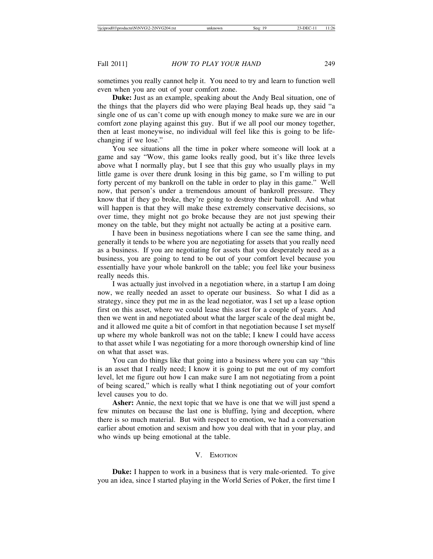sometimes you really cannot help it. You need to try and learn to function well even when you are out of your comfort zone.

**Duke:** Just as an example, speaking about the Andy Beal situation, one of the things that the players did who were playing Beal heads up, they said "a single one of us can't come up with enough money to make sure we are in our comfort zone playing against this guy. But if we all pool our money together, then at least moneywise, no individual will feel like this is going to be lifechanging if we lose."

You see situations all the time in poker where someone will look at a game and say "Wow, this game looks really good, but it's like three levels above what I normally play, but I see that this guy who usually plays in my little game is over there drunk losing in this big game, so I'm willing to put forty percent of my bankroll on the table in order to play in this game." Well now, that person's under a tremendous amount of bankroll pressure. They know that if they go broke, they're going to destroy their bankroll. And what will happen is that they will make these extremely conservative decisions, so over time, they might not go broke because they are not just spewing their money on the table, but they might not actually be acting at a positive earn.

I have been in business negotiations where I can see the same thing, and generally it tends to be where you are negotiating for assets that you really need as a business. If you are negotiating for assets that you desperately need as a business, you are going to tend to be out of your comfort level because you essentially have your whole bankroll on the table; you feel like your business really needs this.

I was actually just involved in a negotiation where, in a startup I am doing now, we really needed an asset to operate our business. So what I did as a strategy, since they put me in as the lead negotiator, was I set up a lease option first on this asset, where we could lease this asset for a couple of years. And then we went in and negotiated about what the larger scale of the deal might be, and it allowed me quite a bit of comfort in that negotiation because I set myself up where my whole bankroll was not on the table; I knew I could have access to that asset while I was negotiating for a more thorough ownership kind of line on what that asset was.

You can do things like that going into a business where you can say "this is an asset that I really need; I know it is going to put me out of my comfort level, let me figure out how I can make sure I am not negotiating from a point of being scared," which is really what I think negotiating out of your comfort level causes you to do.

**Asher:** Annie, the next topic that we have is one that we will just spend a few minutes on because the last one is bluffing, lying and deception, where there is so much material. But with respect to emotion, we had a conversation earlier about emotion and sexism and how you deal with that in your play, and who winds up being emotional at the table.

# V. EMOTION

**Duke:** I happen to work in a business that is very male-oriented. To give you an idea, since I started playing in the World Series of Poker, the first time I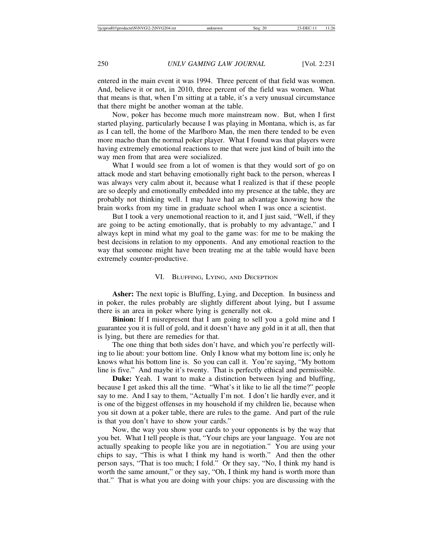entered in the main event it was 1994. Three percent of that field was women. And, believe it or not, in 2010, three percent of the field was women. What that means is that, when I'm sitting at a table, it's a very unusual circumstance that there might be another woman at the table.

Now, poker has become much more mainstream now. But, when I first started playing, particularly because I was playing in Montana, which is, as far as I can tell, the home of the Marlboro Man, the men there tended to be even more macho than the normal poker player. What I found was that players were having extremely emotional reactions to me that were just kind of built into the way men from that area were socialized.

What I would see from a lot of women is that they would sort of go on attack mode and start behaving emotionally right back to the person, whereas I was always very calm about it, because what I realized is that if these people are so deeply and emotionally embedded into my presence at the table, they are probably not thinking well. I may have had an advantage knowing how the brain works from my time in graduate school when I was once a scientist.

But I took a very unemotional reaction to it, and I just said, "Well, if they are going to be acting emotionally, that is probably to my advantage," and I always kept in mind what my goal to the game was: for me to be making the best decisions in relation to my opponents. And any emotional reaction to the way that someone might have been treating me at the table would have been extremely counter-productive.

### VI. BLUFFING, LYING, AND DECEPTION

**Asher:** The next topic is Bluffing, Lying, and Deception. In business and in poker, the rules probably are slightly different about lying, but I assume there is an area in poker where lying is generally not ok.

**Binion:** If I misrepresent that I am going to sell you a gold mine and I guarantee you it is full of gold, and it doesn't have any gold in it at all, then that is lying, but there are remedies for that.

The one thing that both sides don't have, and which you're perfectly willing to lie about: your bottom line. Only I know what my bottom line is; only he knows what his bottom line is. So you can call it. You're saying, "My bottom line is five." And maybe it's twenty. That is perfectly ethical and permissible.

**Duke:** Yeah. I want to make a distinction between lying and bluffing, because I get asked this all the time. "What's it like to lie all the time?" people say to me. And I say to them, "Actually I'm not. I don't lie hardly ever, and it is one of the biggest offenses in my household if my children lie, because when you sit down at a poker table, there are rules to the game. And part of the rule is that you don't have to show your cards."

Now, the way you show your cards to your opponents is by the way that you bet. What I tell people is that, "Your chips are your language. You are not actually speaking to people like you are in negotiation." You are using your chips to say, "This is what I think my hand is worth." And then the other person says, "That is too much; I fold." Or they say, "No, I think my hand is worth the same amount," or they say, "Oh, I think my hand is worth more than that." That is what you are doing with your chips: you are discussing with the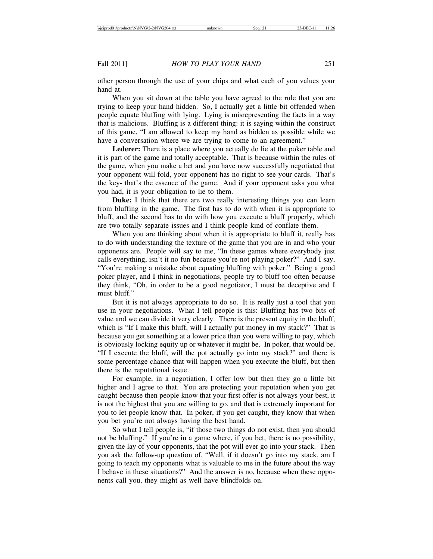other person through the use of your chips and what each of you values your hand at.

When you sit down at the table you have agreed to the rule that you are trying to keep your hand hidden. So, I actually get a little bit offended when people equate bluffing with lying. Lying is misrepresenting the facts in a way that is malicious. Bluffing is a different thing: it is saying within the construct of this game, "I am allowed to keep my hand as hidden as possible while we have a conversation where we are trying to come to an agreement."

**Lederer:** There is a place where you actually do lie at the poker table and it is part of the game and totally acceptable. That is because within the rules of the game, when you make a bet and you have now successfully negotiated that your opponent will fold, your opponent has no right to see your cards. That's the key- that's the essence of the game. And if your opponent asks you what you had, it is your obligation to lie to them.

**Duke:** I think that there are two really interesting things you can learn from bluffing in the game. The first has to do with when it is appropriate to bluff, and the second has to do with how you execute a bluff properly, which are two totally separate issues and I think people kind of conflate them.

When you are thinking about when it is appropriate to bluff it, really has to do with understanding the texture of the game that you are in and who your opponents are. People will say to me, "In these games where everybody just calls everything, isn't it no fun because you're not playing poker?" And I say, "You're making a mistake about equating bluffing with poker." Being a good poker player, and I think in negotiations, people try to bluff too often because they think, "Oh, in order to be a good negotiator, I must be deceptive and I must bluff."

But it is not always appropriate to do so. It is really just a tool that you use in your negotiations. What I tell people is this: Bluffing has two bits of value and we can divide it very clearly. There is the present equity in the bluff, which is "If I make this bluff, will I actually put money in my stack?" That is because you get something at a lower price than you were willing to pay, which is obviously locking equity up or whatever it might be. In poker, that would be, "If I execute the bluff, will the pot actually go into my stack?" and there is some percentage chance that will happen when you execute the bluff, but then there is the reputational issue.

For example, in a negotiation, I offer low but then they go a little bit higher and I agree to that. You are protecting your reputation when you get caught because then people know that your first offer is not always your best, it is not the highest that you are willing to go, and that is extremely important for you to let people know that. In poker, if you get caught, they know that when you bet you're not always having the best hand.

So what I tell people is, "if those two things do not exist, then you should not be bluffing." If you're in a game where, if you bet, there is no possibility, given the lay of your opponents, that the pot will ever go into your stack. Then you ask the follow-up question of, "Well, if it doesn't go into my stack, am I going to teach my opponents what is valuable to me in the future about the way I behave in these situations?" And the answer is no, because when these opponents call you, they might as well have blindfolds on.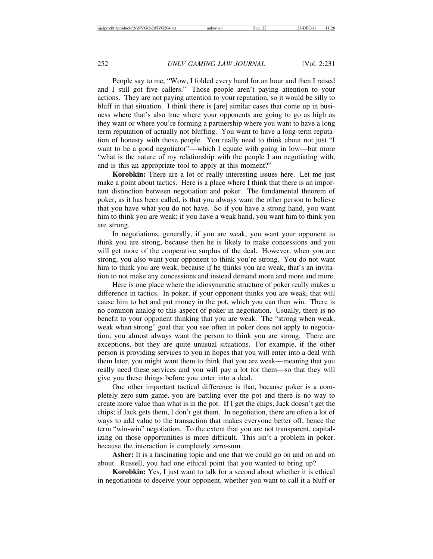People say to me, "Wow, I folded every hand for an hour and then I raised and I still got five callers." Those people aren't paying attention to your actions. They are not paying attention to your reputation, so it would be silly to bluff in that situation. I think there is [are] similar cases that come up in business where that's also true where your opponents are going to go as high as they want or where you're forming a partnership where you want to have a long term reputation of actually not bluffing. You want to have a long-term reputation of honesty with those people. You really need to think about not just "I want to be a good negotiator"—which I equate with going in low—but more "what is the nature of my relationship with the people I am negotiating with, and is this an appropriate tool to apply at this moment?"

**Korobkin:** There are a lot of really interesting issues here. Let me just make a point about tactics. Here is a place where I think that there is an important distinction between negotiation and poker. The fundamental theorem of poker, as it has been called, is that you always want the other person to believe that you have what you do not have. So if you have a strong hand, you want him to think you are weak; if you have a weak hand, you want him to think you are strong.

In negotiations, generally, if you are weak, you want your opponent to think you are strong, because then he is likely to make concessions and you will get more of the cooperative surplus of the deal. However, when you are strong, you also want your opponent to think you're strong. You do not want him to think you are weak, because if he thinks you are weak, that's an invitation to not make any concessions and instead demand more and more and more.

Here is one place where the idiosyncratic structure of poker really makes a difference in tactics. In poker, if your opponent thinks you are weak, that will cause him to bet and put money in the pot, which you can then win. There is no common analog to this aspect of poker in negotiation. Usually, there is no benefit to your opponent thinking that you are weak. The "strong when weak, weak when strong" goal that you see often in poker does not apply to negotiation; you almost always want the person to think you are strong. There are exceptions, but they are quite unusual situations. For example, if the other person is providing services to you in hopes that you will enter into a deal with them later, you might want them to think that you are weak—meaning that you really need these services and you will pay a lot for them—so that they will give you these things before you enter into a deal.

One other important tactical difference is that, because poker is a completely zero-sum game, you are battling over the pot and there is no way to create more value than what is in the pot. If I get the chips, Jack doesn't get the chips; if Jack gets them, I don't get them. In negotiation, there are often a lot of ways to add value to the transaction that makes everyone better off, hence the term "win-win" negotiation. To the extent that you are not transparent, capitalizing on those opportunities is more difficult. This isn't a problem in poker, because the interaction is completely zero-sum.

**Asher:** It is a fascinating topic and one that we could go on and on and on about. Russell, you had one ethical point that you wanted to bring up?

**Korobkin:** Yes, I just want to talk for a second about whether it is ethical in negotiations to deceive your opponent, whether you want to call it a bluff or